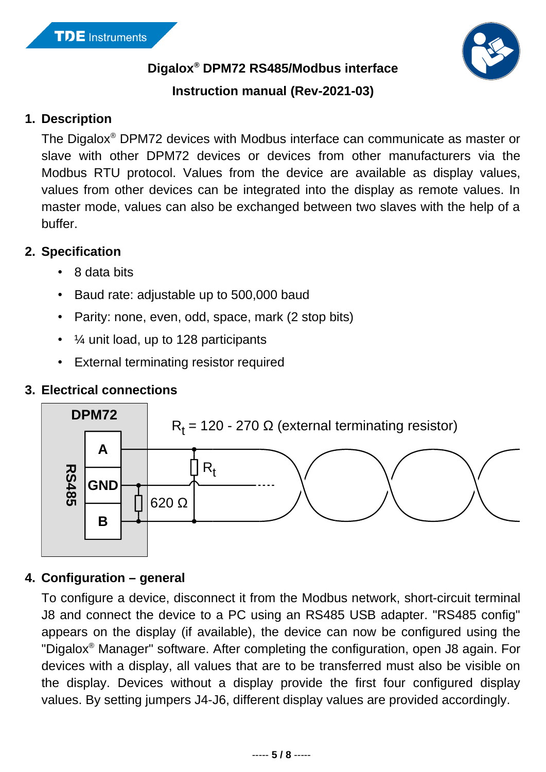

**Digalox® DPM72 RS485/Modbus interface**

## **Instruction manual (Rev-2021-03)**

### **1. Description**

The Digalox® DPM72 devices with Modbus interface can communicate as master or slave with other DPM72 devices or devices from other manufacturers via the Modbus RTU protocol. Values from the device are available as display values, values from other devices can be integrated into the display as remote values. In master mode, values can also be exchanged between two slaves with the help of a buffer.

## **2. Specification**

- 8 data bits
- Baud rate: adjustable up to 500,000 baud
- Parity: none, even, odd, space, mark (2 stop bits)
- $\cdot$   $\frac{1}{4}$  unit load, up to 128 participants
- External terminating resistor required

## **3. Electrical connections**



# **4. Configuration – general**

To configure a device, disconnect it from the Modbus network, short-circuit terminal J8 and connect the device to a PC using an RS485 USB adapter. "RS485 config" appears on the display (if available), the device can now be configured using the "Digalox® Manager" software. After completing the configuration, open J8 again. For devices with a display, all values that are to be transferred must also be visible on the display. Devices without a display provide the first four configured display values. By setting jumpers J4-J6, different display values are provided accordingly.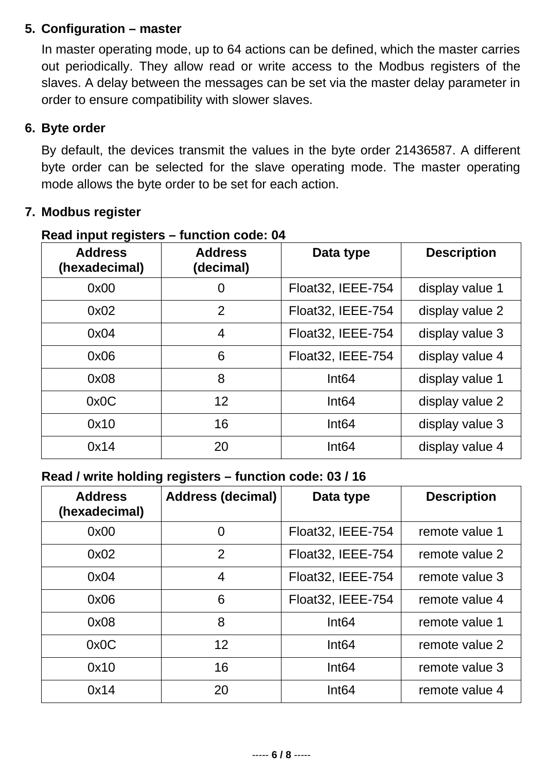### **5. Configuration – master**

In master operating mode, up to 64 actions can be defined, which the master carries out periodically. They allow read or write access to the Modbus registers of the slaves. A delay between the messages can be set via the master delay parameter in order to ensure compatibility with slower slaves.

#### **6. Byte order**

By default, the devices transmit the values in the byte order 21436587. A different byte order can be selected for the slave operating mode. The master operating mode allows the byte order to be set for each action.

### **7. Modbus register**

| <b>Address</b><br>(hexadecimal) | <b>Address</b><br>(decimal) | Data type         | <b>Description</b> |
|---------------------------------|-----------------------------|-------------------|--------------------|
| 0x00                            | 0                           | Float32, IEEE-754 | display value 1    |
| 0x02                            | $\overline{2}$              | Float32, IEEE-754 | display value 2    |
| 0x04                            | 4                           | Float32, IEEE-754 | display value 3    |
| 0x06                            | 6                           | Float32, IEEE-754 | display value 4    |
| 0x08                            | 8                           | Int64             | display value 1    |
| 0x0C                            | 12                          | Int64             | display value 2    |
| 0x10                            | 16                          | Int64             | display value 3    |
| 0x14                            | 20                          | Int64             | display value 4    |

#### **Read input registers – function code: 04**

#### **Read / write holding registers – function code: 03 / 16**

| <b>Address</b><br>(hexadecimal) | <b>Address (decimal)</b> | Data type          | <b>Description</b> |
|---------------------------------|--------------------------|--------------------|--------------------|
| 0x00                            | 0                        | Float32, IEEE-754  | remote value 1     |
| 0x02                            | $\overline{2}$           | Float32, IEEE-754  | remote value 2     |
| 0x04                            | $\overline{4}$           | Float 32, IEEE-754 | remote value 3     |
| 0x06                            | 6                        | Float 32, IEEE-754 | remote value 4     |
| 0x08                            | 8                        | Int64              | remote value 1     |
| 0x0C                            | 12                       | Int64              | remote value 2     |
| 0x10                            | 16                       | Int64              | remote value 3     |
| 0x14                            | 20                       | Int64              | remote value 4     |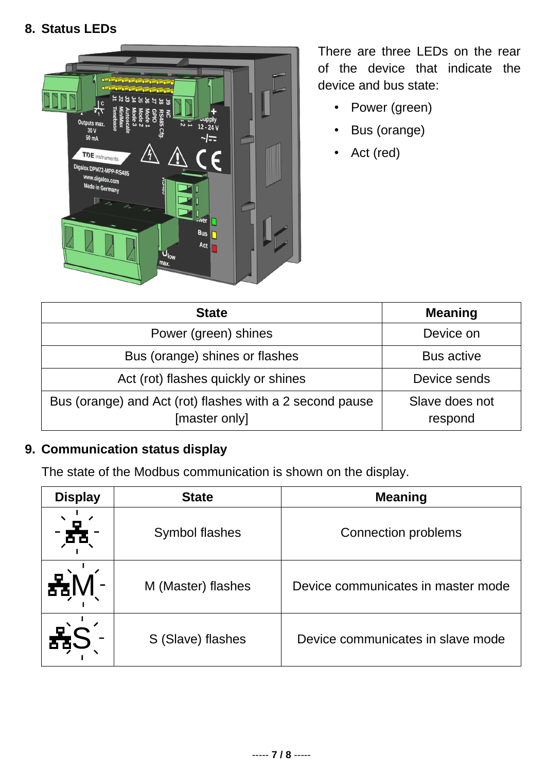#### **8. Status LEDs**



There are three LEDs on the rear of the device that indicate the device and bus state:

- Power (green)
- Bus (orange)
- Act (red)

| <b>State</b>                                                              | <b>Meaning</b>            |
|---------------------------------------------------------------------------|---------------------------|
| Power (green) shines                                                      | Device on                 |
| Bus (orange) shines or flashes                                            | <b>Bus active</b>         |
| Act (rot) flashes quickly or shines                                       | Device sends              |
| Bus (orange) and Act (rot) flashes with a 2 second pause<br>[master only] | Slave does not<br>respond |

## **9. Communication status display**

The state of the Modbus communication is shown on the display.

| <b>Display</b> | <b>State</b>       | <b>Meaning</b>                     |
|----------------|--------------------|------------------------------------|
|                | Symbol flashes     | <b>Connection problems</b>         |
|                | M (Master) flashes | Device communicates in master mode |
|                | S (Slave) flashes  | Device communicates in slave mode  |